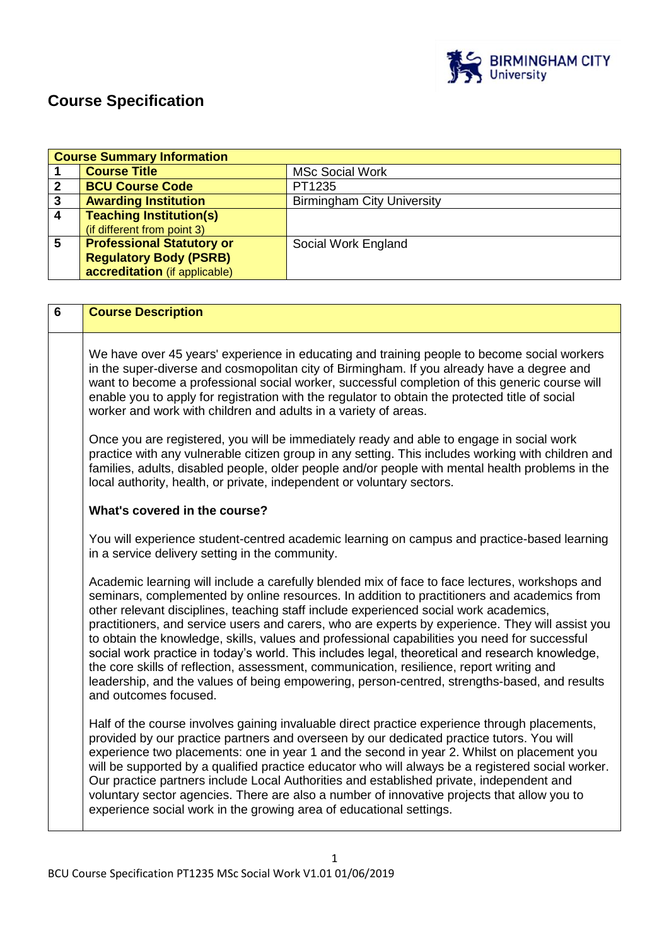

# **Course Specification**

| <b>Course Summary Information</b> |                                  |                                   |
|-----------------------------------|----------------------------------|-----------------------------------|
|                                   | <b>Course Title</b>              | <b>MSc Social Work</b>            |
| $\overline{2}$                    | <b>BCU Course Code</b>           | PT1235                            |
| $\overline{\mathbf{3}}$           | <b>Awarding Institution</b>      | <b>Birmingham City University</b> |
| -4                                | <b>Teaching Institution(s)</b>   |                                   |
|                                   | (if different from point 3)      |                                   |
| 5                                 | <b>Professional Statutory or</b> | Social Work England               |
|                                   | <b>Regulatory Body (PSRB)</b>    |                                   |
|                                   | accreditation (if applicable)    |                                   |

| <b>Course Description</b>                                                                                                                                                                                                                                                                                                                                                                                                                                                                                                                                                                                                                                                                                                                                                                                           |
|---------------------------------------------------------------------------------------------------------------------------------------------------------------------------------------------------------------------------------------------------------------------------------------------------------------------------------------------------------------------------------------------------------------------------------------------------------------------------------------------------------------------------------------------------------------------------------------------------------------------------------------------------------------------------------------------------------------------------------------------------------------------------------------------------------------------|
| We have over 45 years' experience in educating and training people to become social workers<br>in the super-diverse and cosmopolitan city of Birmingham. If you already have a degree and<br>want to become a professional social worker, successful completion of this generic course will<br>enable you to apply for registration with the regulator to obtain the protected title of social<br>worker and work with children and adults in a variety of areas.                                                                                                                                                                                                                                                                                                                                                   |
| Once you are registered, you will be immediately ready and able to engage in social work<br>practice with any vulnerable citizen group in any setting. This includes working with children and<br>families, adults, disabled people, older people and/or people with mental health problems in the<br>local authority, health, or private, independent or voluntary sectors.                                                                                                                                                                                                                                                                                                                                                                                                                                        |
| What's covered in the course?                                                                                                                                                                                                                                                                                                                                                                                                                                                                                                                                                                                                                                                                                                                                                                                       |
| You will experience student-centred academic learning on campus and practice-based learning<br>in a service delivery setting in the community.                                                                                                                                                                                                                                                                                                                                                                                                                                                                                                                                                                                                                                                                      |
| Academic learning will include a carefully blended mix of face to face lectures, workshops and<br>seminars, complemented by online resources. In addition to practitioners and academics from<br>other relevant disciplines, teaching staff include experienced social work academics,<br>practitioners, and service users and carers, who are experts by experience. They will assist you<br>to obtain the knowledge, skills, values and professional capabilities you need for successful<br>social work practice in today's world. This includes legal, theoretical and research knowledge,<br>the core skills of reflection, assessment, communication, resilience, report writing and<br>leadership, and the values of being empowering, person-centred, strengths-based, and results<br>and outcomes focused. |
| Half of the course involves gaining invaluable direct practice experience through placements,<br>provided by our practice partners and overseen by our dedicated practice tutors. You will<br>experience two placements: one in year 1 and the second in year 2. Whilst on placement you<br>will be supported by a qualified practice educator who will always be a registered social worker.<br>Our practice partners include Local Authorities and established private, independent and<br>voluntary sector agencies. There are also a number of innovative projects that allow you to<br>experience social work in the growing area of educational settings.                                                                                                                                                     |
|                                                                                                                                                                                                                                                                                                                                                                                                                                                                                                                                                                                                                                                                                                                                                                                                                     |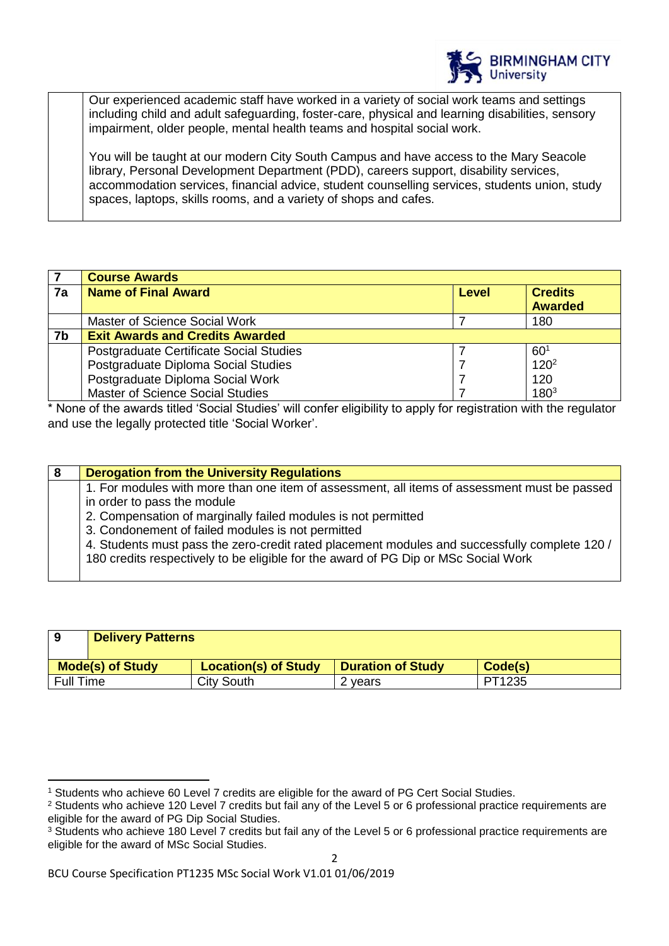

Our experienced academic staff have worked in a variety of social work teams and settings including child and adult safeguarding, foster-care, physical and learning disabilities, sensory impairment, older people, mental health teams and hospital social work.

You will be taught at our modern City South Campus and have access to the Mary Seacole library, Personal Development Department (PDD), careers support, disability services, accommodation services, financial advice, student counselling services, students union, study spaces, laptops, skills rooms, and a variety of shops and cafes.

|    | <b>Course Awards</b>                    |       |                  |
|----|-----------------------------------------|-------|------------------|
| 7a | <b>Name of Final Award</b>              | Level | <b>Credits</b>   |
|    |                                         |       | <b>Awarded</b>   |
|    | Master of Science Social Work           |       | 180              |
| 7b | <b>Exit Awards and Credits Awarded</b>  |       |                  |
|    | Postgraduate Certificate Social Studies |       | 60 <sup>1</sup>  |
|    | Postgraduate Diploma Social Studies     |       | 120 <sup>2</sup> |
|    | Postgraduate Diploma Social Work        |       | 120              |
|    | <b>Master of Science Social Studies</b> |       | $180^{3}$        |

\* None of the awards titled 'Social Studies' will confer eligibility to apply for registration with the regulator and use the legally protected title 'Social Worker'.

| 8 | <b>Derogation from the University Regulations</b>                                             |
|---|-----------------------------------------------------------------------------------------------|
|   | 1. For modules with more than one item of assessment, all items of assessment must be passed  |
|   | in order to pass the module                                                                   |
|   | 2. Compensation of marginally failed modules is not permitted                                 |
|   | 3. Condonement of failed modules is not permitted                                             |
|   | 4. Students must pass the zero-credit rated placement modules and successfully complete 120 / |
|   | 180 credits respectively to be eligible for the award of PG Dip or MSc Social Work            |
|   |                                                                                               |

| 9                | <b>Delivery Patterns</b> |                             |                          |         |
|------------------|--------------------------|-----------------------------|--------------------------|---------|
|                  | <b>Mode(s) of Study</b>  | <b>Location(s) of Study</b> | <b>Duration of Study</b> | Code(s) |
| <b>Full Time</b> |                          | <b>City South</b>           | 2 years                  | PT1235  |

 $\mathfrak{p}$ 

 $\overline{a}$ 

<sup>1</sup> Students who achieve 60 Level 7 credits are eligible for the award of PG Cert Social Studies.

<sup>&</sup>lt;sup>2</sup> Students who achieve 120 Level 7 credits but fail any of the Level 5 or 6 professional practice requirements are eligible for the award of PG Dip Social Studies.

<sup>&</sup>lt;sup>3</sup> Students who achieve 180 Level 7 credits but fail any of the Level 5 or 6 professional practice requirements are eligible for the award of MSc Social Studies.

BCU Course Specification PT1235 MSc Social Work V1.01 01/06/2019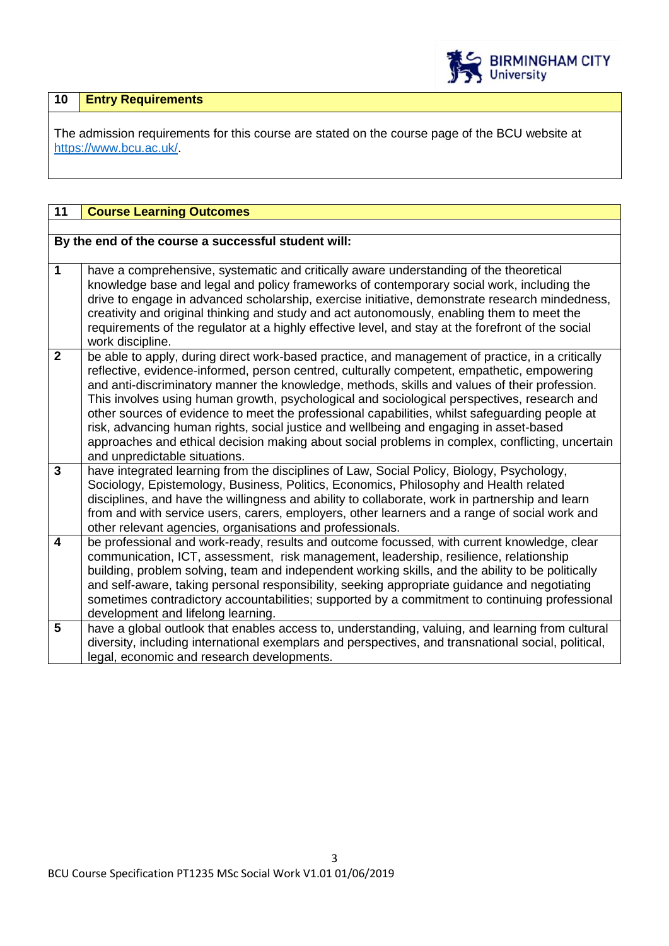

# **10 Entry Requirements**

The admission requirements for this course are stated on the course page of the BCU website at [https://www.bcu.ac.uk/.](https://www.bcu.ac.uk/)

| 11                      | <b>Course Learning Outcomes</b>                                                                                                                                                               |
|-------------------------|-----------------------------------------------------------------------------------------------------------------------------------------------------------------------------------------------|
|                         |                                                                                                                                                                                               |
|                         | By the end of the course a successful student will:                                                                                                                                           |
| $\mathbf 1$             |                                                                                                                                                                                               |
|                         | have a comprehensive, systematic and critically aware understanding of the theoretical<br>knowledge base and legal and policy frameworks of contemporary social work, including the           |
|                         | drive to engage in advanced scholarship, exercise initiative, demonstrate research mindedness,                                                                                                |
|                         | creativity and original thinking and study and act autonomously, enabling them to meet the                                                                                                    |
|                         | requirements of the regulator at a highly effective level, and stay at the forefront of the social                                                                                            |
|                         | work discipline.                                                                                                                                                                              |
| $\overline{2}$          | be able to apply, during direct work-based practice, and management of practice, in a critically                                                                                              |
|                         | reflective, evidence-informed, person centred, culturally competent, empathetic, empowering                                                                                                   |
|                         | and anti-discriminatory manner the knowledge, methods, skills and values of their profession.                                                                                                 |
|                         | This involves using human growth, psychological and sociological perspectives, research and<br>other sources of evidence to meet the professional capabilities, whilst safeguarding people at |
|                         | risk, advancing human rights, social justice and wellbeing and engaging in asset-based                                                                                                        |
|                         | approaches and ethical decision making about social problems in complex, conflicting, uncertain                                                                                               |
|                         | and unpredictable situations.                                                                                                                                                                 |
| $\overline{3}$          | have integrated learning from the disciplines of Law, Social Policy, Biology, Psychology,                                                                                                     |
|                         | Sociology, Epistemology, Business, Politics, Economics, Philosophy and Health related                                                                                                         |
|                         | disciplines, and have the willingness and ability to collaborate, work in partnership and learn                                                                                               |
|                         | from and with service users, carers, employers, other learners and a range of social work and<br>other relevant agencies, organisations and professionals.                                    |
| $\overline{\mathbf{4}}$ | be professional and work-ready, results and outcome focussed, with current knowledge, clear                                                                                                   |
|                         | communication, ICT, assessment, risk management, leadership, resilience, relationship                                                                                                         |
|                         | building, problem solving, team and independent working skills, and the ability to be politically                                                                                             |
|                         | and self-aware, taking personal responsibility, seeking appropriate guidance and negotiating                                                                                                  |
|                         | sometimes contradictory accountabilities; supported by a commitment to continuing professional                                                                                                |
|                         | development and lifelong learning.                                                                                                                                                            |
| 5                       | have a global outlook that enables access to, understanding, valuing, and learning from cultural                                                                                              |
|                         | diversity, including international exemplars and perspectives, and transnational social, political,                                                                                           |
|                         | legal, economic and research developments.                                                                                                                                                    |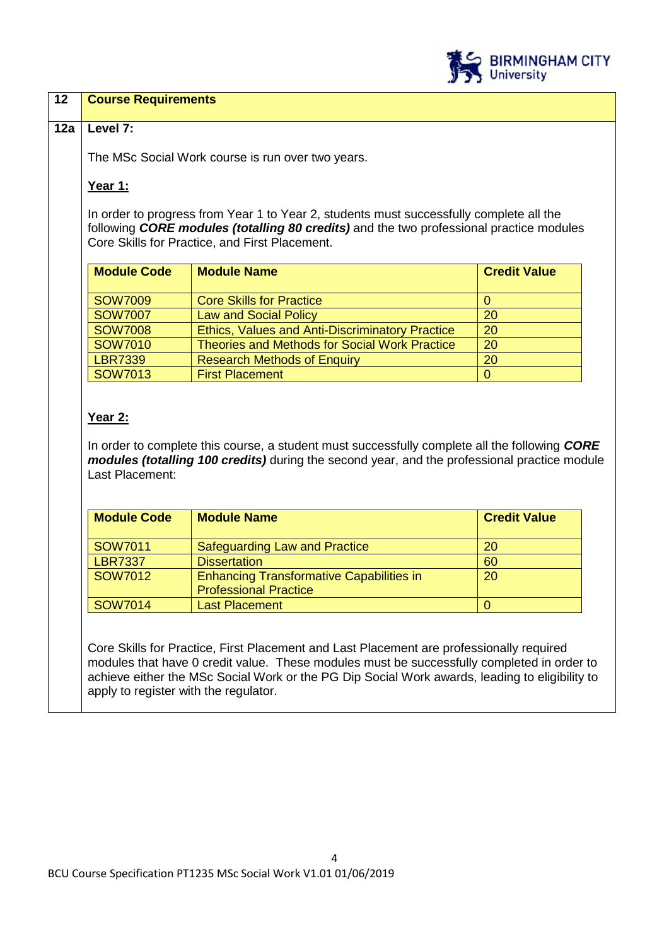

## **12 Course Requirements**

## **12a Level 7:**

The MSc Social Work course is run over two years.

## **Year 1:**

In order to progress from Year 1 to Year 2, students must successfully complete all the following *CORE modules (totalling 80 credits)* and the two professional practice modules Core Skills for Practice, and First Placement.

| <b>Module Code</b> | <b>Module Name</b>                                     | <b>Credit Value</b> |
|--------------------|--------------------------------------------------------|---------------------|
| <b>SOW7009</b>     | <b>Core Skills for Practice</b>                        |                     |
| <b>SOW7007</b>     | <b>Law and Social Policy</b>                           | 20                  |
| <b>SOW7008</b>     | <b>Ethics, Values and Anti-Discriminatory Practice</b> | <b>20</b>           |
| SOW7010            | <b>Theories and Methods for Social Work Practice</b>   | 20                  |
| <b>LBR7339</b>     | <b>Research Methods of Enquiry</b>                     | 20                  |
| <b>SOW7013</b>     | <b>First Placement</b>                                 |                     |

# **Year 2:**

In order to complete this course, a student must successfully complete all the following *CORE modules (totalling 100 credits)* during the second year, and the professional practice module Last Placement:

| <b>Module Code</b> | <b>Module Name</b>                              | <b>Credit Value</b> |
|--------------------|-------------------------------------------------|---------------------|
|                    |                                                 |                     |
| SOW7011            | Safeguarding Law and Practice                   | 20                  |
| <b>LBR7337</b>     | <b>Dissertation</b>                             | 60                  |
| SOW7012            | <b>Enhancing Transformative Capabilities in</b> | 20                  |
|                    | <b>Professional Practice</b>                    |                     |
| <b>SOW7014</b>     | <b>Last Placement</b>                           |                     |

Core Skills for Practice, First Placement and Last Placement are professionally required modules that have 0 credit value. These modules must be successfully completed in order to achieve either the MSc Social Work or the PG Dip Social Work awards, leading to eligibility to apply to register with the regulator.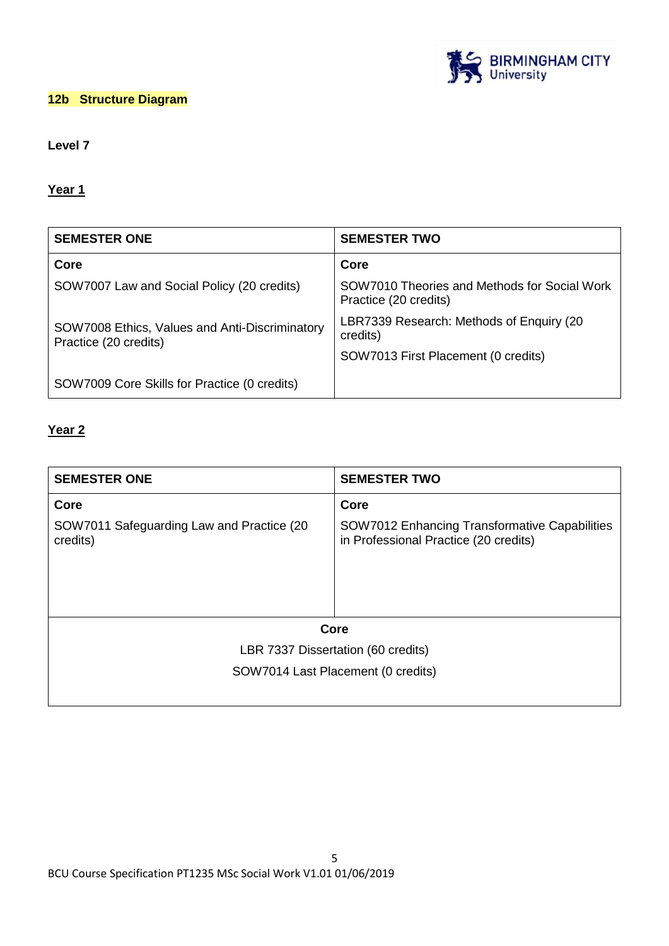

# **12b Structure Diagram**

# **Level 7**

## **Year 1**

| <b>SEMESTER ONE</b>                                                     | <b>SEMESTER TWO</b>                                                   |
|-------------------------------------------------------------------------|-----------------------------------------------------------------------|
| Core                                                                    | Core                                                                  |
| SOW7007 Law and Social Policy (20 credits)                              | SOW7010 Theories and Methods for Social Work<br>Practice (20 credits) |
| SOW7008 Ethics, Values and Anti-Discriminatory<br>Practice (20 credits) | LBR7339 Research: Methods of Enquiry (20)<br>credits)                 |
|                                                                         | SOW7013 First Placement (0 credits)                                   |
| SOW7009 Core Skills for Practice (0 credits)                            |                                                                       |

## **Year 2**

| <b>SEMESTER ONE</b>                                   | <b>SEMESTER TWO</b>                                                                    |
|-------------------------------------------------------|----------------------------------------------------------------------------------------|
| Core                                                  | Core                                                                                   |
| SOW7011 Safeguarding Law and Practice (20<br>credits) | SOW7012 Enhancing Transformative Capabilities<br>in Professional Practice (20 credits) |
|                                                       | Core                                                                                   |
|                                                       | LBR 7337 Dissertation (60 credits)                                                     |
|                                                       | SOW7014 Last Placement (0 credits)                                                     |
|                                                       |                                                                                        |